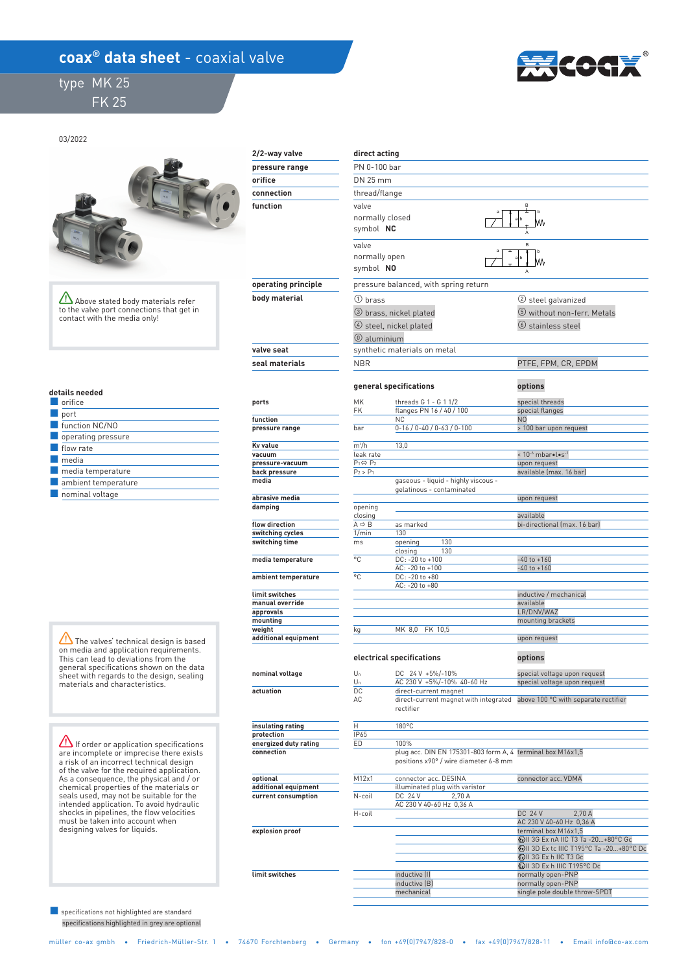## **coax<sup>®</sup> data sheet** - coaxial valve

 type MK 25 FK 25



03/2022



Above stated body materials refer to the valve port connections that get in contact with the media only!

 **optional additional equipment current consumption** 

 **explosion proof** 

 **limit switches** 

|  |  | details needed |  |  |  |  |
|--|--|----------------|--|--|--|--|
|  |  |                |  |  |  |  |

| orifice                   |
|---------------------------|
| port                      |
| function NC/NO            |
| $\Box$ operating pressure |
| flow rate                 |
| media                     |
| media temperature         |
| ambient temperature       |
| $\Box$ nominal voltage    |

The valves' technical design is based on media and application requirements. This can lead to deviations from the general specifications shown on the data sheet with regards to the design, sealing materials and characteristics.

**If order or application specifications** are incomplete or imprecise there exists a risk of an incorrect technical design of the valve for the required application. As a consequence, the physical and / or chemical properties of the materials or seals used, may not be suitable for the intended application. To avoid hydraulic shocks in pipelines, the flow velocities must be taken into account when designing valves for liquids.

 specifications highlighted in grey are optional ■ specifications not highlighted are standard

| 2/2-way valve                  | direct acting                          |                                                                                                               |                                                              |  |  |  |  |
|--------------------------------|----------------------------------------|---------------------------------------------------------------------------------------------------------------|--------------------------------------------------------------|--|--|--|--|
| pressure range                 |                                        | PN 0-100 bar                                                                                                  |                                                              |  |  |  |  |
| orifice                        | DN 25 mm                               |                                                                                                               |                                                              |  |  |  |  |
| connection                     | thread/flange                          |                                                                                                               |                                                              |  |  |  |  |
| function                       | valve                                  | normally closed<br>symbol NC                                                                                  |                                                              |  |  |  |  |
|                                | valve<br>normally open<br>symbol NO    |                                                                                                               | B                                                            |  |  |  |  |
| operating principle            |                                        | pressure balanced, with spring return                                                                         |                                                              |  |  |  |  |
| body material                  | 1 brass                                |                                                                                                               | (2) steel galvanized                                         |  |  |  |  |
|                                |                                        | 3 brass, nickel plated<br>$(4)$ steel, nickel plated                                                          | 5 without non-ferr. Metals<br><b>(6)</b> stainless steel     |  |  |  |  |
|                                | $@$ aluminium                          |                                                                                                               |                                                              |  |  |  |  |
| valve seat                     |                                        | synthetic materials on metal                                                                                  |                                                              |  |  |  |  |
| seal materials                 | <b>NBR</b>                             |                                                                                                               | PTFE, FPM, CR, EPDM                                          |  |  |  |  |
|                                |                                        | general specifications                                                                                        | options                                                      |  |  |  |  |
| ports                          | MK<br>FK                               | threads G 1 - G 1 1/2<br>flanges PN 16 / 40 / 100                                                             | special threads<br>special flanges                           |  |  |  |  |
| function<br>pressure range     | bar                                    | NC.<br>$0-16$ / $0-40$ / $0-63$ / $0-100$                                                                     | N <sub>0</sub><br>> 100 bar upon request                     |  |  |  |  |
|                                |                                        |                                                                                                               |                                                              |  |  |  |  |
| Kv value                       | $m^3/h$                                | 13,0                                                                                                          |                                                              |  |  |  |  |
| vacuum<br>pressure-vacuum      | leak rate<br>$P_1 \Leftrightarrow P_2$ |                                                                                                               | < 10-6 mbar .l.s-1<br>upon request                           |  |  |  |  |
| back pressure                  | $P_2 > P_1$                            |                                                                                                               | available (max. 16 bar)                                      |  |  |  |  |
| media                          |                                        | qaseous - liquid - highly viscous -<br>gelatinous - contaminated                                              |                                                              |  |  |  |  |
| abrasive media                 |                                        |                                                                                                               | upon request                                                 |  |  |  |  |
| damping                        | opening<br>closing                     |                                                                                                               | available                                                    |  |  |  |  |
| flow direction                 | $A \Rightarrow B$                      | as marked                                                                                                     | bi-directional (max. 16 bar)                                 |  |  |  |  |
| switching cycles               | 1/min                                  | 130                                                                                                           |                                                              |  |  |  |  |
| switching time                 | ms.                                    | 130<br>opening<br>130<br>closing                                                                              |                                                              |  |  |  |  |
| media temperature              | °C                                     | DC: - 20 to +100<br>AC: - 20 to +100                                                                          | $-40$ to $+160$<br>$-40$ to $+160$                           |  |  |  |  |
| ambient temperature            | °C                                     | DC: -20 to +80<br>AC: -20 to +80                                                                              |                                                              |  |  |  |  |
| limit switches                 |                                        |                                                                                                               | inductive / mechanical                                       |  |  |  |  |
| manual override                |                                        |                                                                                                               | available                                                    |  |  |  |  |
| approvals                      |                                        |                                                                                                               | LR/DNV/WAZ                                                   |  |  |  |  |
| mounting                       |                                        |                                                                                                               | mounting brackets                                            |  |  |  |  |
| weight<br>additional equipment | kq                                     | MK 8,0 FK 10,5                                                                                                | upon request                                                 |  |  |  |  |
|                                |                                        | electrical specifications                                                                                     | options                                                      |  |  |  |  |
| nominal voltage                | $U_n$<br>Un                            | DC 24 V +5%/-10%<br>AC 230 V +5%/-10% 40-60 Hz                                                                | special voltage upon request<br>special voltage upon request |  |  |  |  |
| DC<br>actuation<br>AC          |                                        | direct-current magnet<br>direct-current magnet with integrated above 100 °C with separate recti-<br>rectifier |                                                              |  |  |  |  |
| insulating rating              | Η                                      | 180°C                                                                                                         |                                                              |  |  |  |  |
| protection                     | IP65                                   |                                                                                                               |                                                              |  |  |  |  |
| energized duty rating          | ED                                     | 100%                                                                                                          |                                                              |  |  |  |  |
| connection                     |                                        | plug acc. DIN EN 175301-803 form A, 4 terminal box M16x1,5<br>positions x90° / wire diameter 6-8 mm           |                                                              |  |  |  |  |

| connector acc. DESINA          | connector acc. VDMA                        |  |  |  |  |
|--------------------------------|--------------------------------------------|--|--|--|--|
| illuminated plug with varistor |                                            |  |  |  |  |
| DC 24 V<br>2.70 A              |                                            |  |  |  |  |
| AC 230 V 40-60 Hz 0,36 A       |                                            |  |  |  |  |
|                                | <b>DC 24 V</b><br>2.70A                    |  |  |  |  |
|                                | AC 230 V 40-60 Hz 0,36 A                   |  |  |  |  |
|                                | terminal box M16x1,5                       |  |  |  |  |
|                                | (x) II 3G Ex nA IIC T3 Ta -20+80°C Gc      |  |  |  |  |
|                                | (x) II 3D Ex to IIIC T195°C Ta -20+80°C Do |  |  |  |  |
|                                | <b>WII 3G Ex h IIC T3 Gc</b>               |  |  |  |  |
|                                | <b>WILSO Ex h IIIC T195°C Dc</b>           |  |  |  |  |
| inductive [I]                  | normally open-PNP                          |  |  |  |  |
| inductive (B)                  | normally open-PNP                          |  |  |  |  |
| mechanical                     | single pole double throw-SPDT              |  |  |  |  |
|                                |                                            |  |  |  |  |

tifier